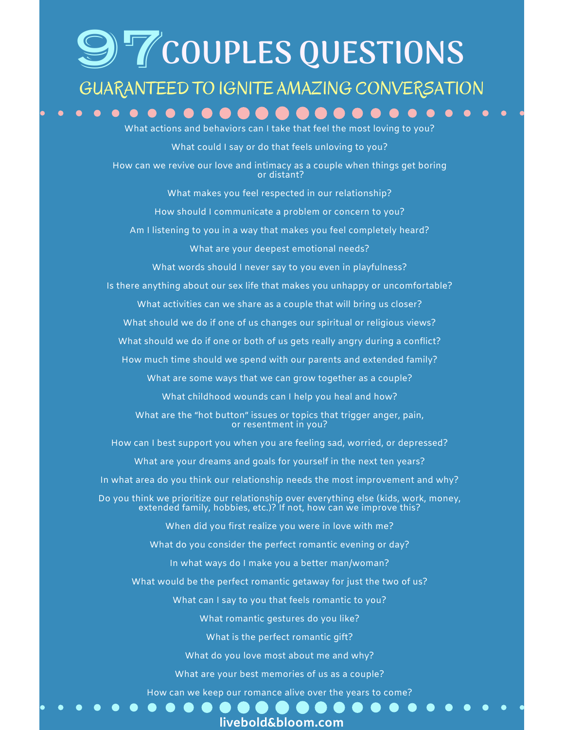# 97**COUPLES QUESTIONS**

#### GUARANTEED TO IGNITE AMAZING CONVERSATION

What actions and behaviors can I take that feel the most loving to you? What could I say or do that feels unloving to you? How can we revive our love and intimacy as a couple when things get boring or distant? What makes you feel respected in our relationship? How should I communicate a problem or concern to you? Am I listening to you in a way that makes you feel completely heard? What are your deepest emotional needs? What words should I never say to you even in playfulness? Is there anything about our sex life that makes you unhappy or uncomfortable? What activities can we share as a couple that will bring us closer? What should we do if one of us changes our spiritual or religious views? What should we do if one or both of us gets really angry during a conflict? How much time should we spend with our parents and extended family? What are some ways that we can grow together as a couple? What childhood wounds can I help you heal and how? What are the "hot button" issues or topics that trigger anger, pain, or resentment in you? How can I best support you when you are feeling sad, worried, or depressed? What are your dreams and goals for yourself in the next ten years? In what area do you think our relationship needs the most improvement and why? Do you think we prioritize our relationship over everything else (kids, work, money, extended family, hobbies, etc.)? If not, how can we improve this? When did you first realize you were in love with me? What do you consider the perfect romantic evening or day? In what ways do I make you a better man/woman? What would be the perfect romantic getaway for just the two of us? What can I say to you that feels romantic to you? What romantic gestures do you like? What is the perfect romantic gift? What do you love most about me and why? What are your best memories of us as a couple? How can we keep our romance alive over the years to come?

**livebold&bloom.com**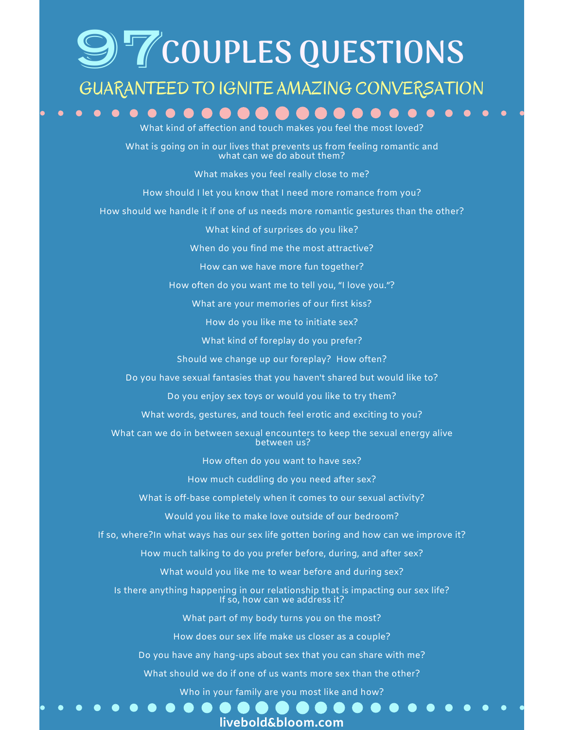### 97**COUPLES QUESTIONS**

#### GUARANTEED TO IGNITE AMAZING CONVERSATION

fection and touch makes

What is going on in our lives that prevents us from feeling romantic and what can we do about them?

What makes you feel really close to me?

How should I let you know that I need more romance from you?

How should we handle it if one of us needs more romantic gestures than the other?

What kind of surprises do you like?

When do you find me the most attractive?

How can we have more fun together?

How often do you want me to tell you, "I love you."?

What are your memories of our first kiss?

How do you like me to initiate sex?

What kind of foreplay do you prefer?

Should we change up our foreplay? How often?

Do you have sexual fantasies that you haven't shared but would like to?

Do you enjoy sex toys or would you like to try them?

What words, gestures, and touch feel erotic and exciting to you?

What can we do in between sexual encounters to keep the sexual energy alive between us?

How often do you want to have sex?

How much cuddling do you need after sex?

What is off-base completely when it comes to our sexual activity?

Would you like to make love outside of our bedroom?

If so, where?In what ways has our sex life gotten boring and how can we improve it?

How much talking to do you prefer before, during, and after sex?

What would you like me to wear before and during sex?

Is there anything happening in our relationship that is impacting our sex life? If so, how can we address it?

What part of my body turns you on the most?

How does our sex life make us closer as a couple?

Do you have any hang-ups about sex that you can share with me?

What should we do if one of us wants more sex than the other?

Who in your family are you most like and how?

**livebold&bloom.com**